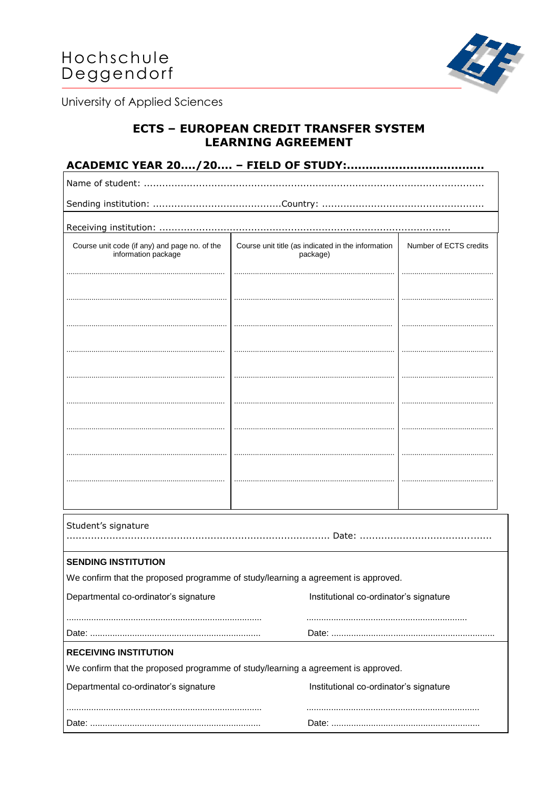

University of Applied Sciences

## **ECTS - EUROPEAN CREDIT TRANSFER SYSTEM LEARNING AGREEMENT**

| Course unit code (if any) and page no. of the<br>information package | Course unit title (as indicated in the information<br>package)                    | Number of ECTS credits                 |  |  |  |
|----------------------------------------------------------------------|-----------------------------------------------------------------------------------|----------------------------------------|--|--|--|
|                                                                      |                                                                                   |                                        |  |  |  |
|                                                                      |                                                                                   |                                        |  |  |  |
|                                                                      |                                                                                   |                                        |  |  |  |
|                                                                      |                                                                                   |                                        |  |  |  |
|                                                                      |                                                                                   |                                        |  |  |  |
|                                                                      |                                                                                   |                                        |  |  |  |
|                                                                      |                                                                                   |                                        |  |  |  |
| Student's signature                                                  |                                                                                   |                                        |  |  |  |
| <b>SENDING INSTITUTION</b>                                           |                                                                                   |                                        |  |  |  |
|                                                                      | We confirm that the proposed programme of study/learning a agreement is approved. |                                        |  |  |  |
| Departmental co-ordinator's signature                                |                                                                                   | Institutional co-ordinator's signature |  |  |  |
|                                                                      |                                                                                   |                                        |  |  |  |
| <b>RECEIVING INSTITUTION</b>                                         |                                                                                   |                                        |  |  |  |
|                                                                      | We confirm that the proposed programme of study/learning a agreement is approved. |                                        |  |  |  |
| Departmental co-ordinator's signature                                |                                                                                   | Institutional co-ordinator's signature |  |  |  |
|                                                                      |                                                                                   |                                        |  |  |  |